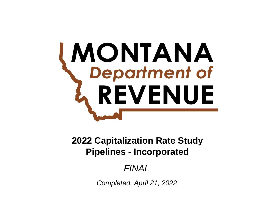# **MONTANA**<br>
Department of REVENUE

**Pipelines - Incorporated 2022 Capitalization Rate Study**

*FINAL*

*Completed: April 21, 2022*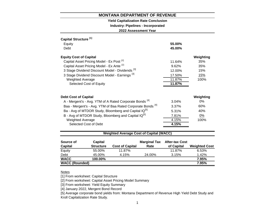## **Yield Capitalization Rate Conclusion**

**Industry: Pipelines - Incorporated**

**2022 Assessment Year**

| Capital Structure <sup>[1]</sup>                                       |        |           |
|------------------------------------------------------------------------|--------|-----------|
| Equity                                                                 | 55.00% |           |
| Debt                                                                   | 45.00% |           |
| <b>Equity Cost of Capital</b>                                          |        | Weighting |
| Capital Asset Pricing Model - Ex Post <sup>[2]</sup>                   | 11.64% | 35%       |
| Capital Asset Pricing Model - Ex Ante [2]                              | 9.62%  | 35%       |
| 3 Stage Dividend Discount Model - Dividends <sup>[3]</sup>             | 12.00% | 15%       |
| 3 Stage Dividend Discount Model - Earnings [3]                         | 17.50% | 15%       |
| <b>Weighted Average</b>                                                | 11.87% | 100%      |
| Selected Cost of Equity                                                | 11.87% |           |
|                                                                        |        |           |
| <b>Debt Cost of Capital</b>                                            |        | Weighting |
| A - Mergent's - Avg. YTM of A Rated Corporate Bonds <sup>[4]</sup>     | 3.04%  | 0%        |
| Baa - Mergent's - Avg. YTM of Baa Rated Corporate Bonds <sup>[4]</sup> | 3.37%  | 60%       |
| Ba - Avg of MTDOR Study, Bloomberg and Capital IQ <sup>[5]</sup>       | 5.31%  | 40%       |
| B - Avg of MTDOR Study, Bloomberg and Capital IQ <sup>[5]</sup>        | 7.81%  | 0%        |
| <b>Weighted Average</b>                                                | 4.15%  | 100%      |
| Selected Cost of Debt                                                  | 4.15%  |           |
|                                                                        |        |           |

## **Weighted Average Cost of Capital (WACC)**

| Source of             | Capital          |                        | <b>Marginal Tax</b> | <b>After-tax Cost</b> |                      |
|-----------------------|------------------|------------------------|---------------------|-----------------------|----------------------|
| <b>Capital</b>        | <b>Structure</b> | <b>Cost of Capital</b> | Rate                | of Capital            | <b>Weighted Cost</b> |
| Equity                | 55.00%           | 11.87%                 |                     | 11.87%                | 6.53%                |
| Debt                  | 45.00%           | 4.15%                  | 24.00%              | 3.15%                 | 1.42%                |
| <b>WACC</b>           | 100.00%          |                        |                     |                       | 7.95%                |
| <b>WACC (Rounded)</b> |                  |                        |                     |                       | 7.95%                |

## Notes

[1] From worksheet: Capital Structure

[2] From worksheet: Capital Asset Pricing Model Summary

[3] From worksheet: Yield Equity Summary

[4] January 2022, Mergent Bond Record

[5] Average corporate bond yields from: Montana Department of Revenue High Yield Debt Study and Kroll Capitalization Rate Study.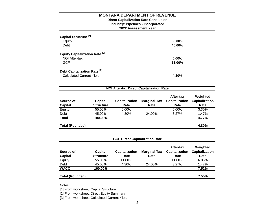## **2022 Assessment Year Industry: Pipelines - Incorporated Direct Capitalization Rate Conclusion**

| Capital Structure <sup>[1]</sup><br>Equity<br>Debt                         | 55.00%<br>45.00%   |
|----------------------------------------------------------------------------|--------------------|
| Equity Capitalization Rate <sup>[2]</sup><br>NOI After-tax<br><b>GCF</b>   | $6.00\%$<br>11.00% |
| Debt Capitalization Rate <sup>[3]</sup><br><b>Calculated Current Yield</b> | 4.30%              |

| Source of<br><b>Capital</b> | <b>Capital</b><br><b>Structure</b> | <b>Capitalization</b><br>Rate | <b>Marginal Tax</b><br>Rate | After-tax<br><b>Capitalization</b><br>Rate | Weighted<br><b>Capitalization</b><br>Rate |
|-----------------------------|------------------------------------|-------------------------------|-----------------------------|--------------------------------------------|-------------------------------------------|
| Equity                      | 55.00%                             | 6.00%                         |                             | 6.00%                                      | 3.30%                                     |
| Debt                        | 45.00%                             | 4.30%                         | 24.00%                      | 3.27%                                      | 1.47%                                     |
| <b>Total</b>                | 100.00%                            |                               |                             |                                            | 4.77%                                     |
| <b>Total (Rounded)</b>      |                                    |                               |                             |                                            | 4.80%                                     |

| <b>GCF Direct Capitalization Rate</b> |                             |                               |                             |                                            |                                           |  |  |  |
|---------------------------------------|-----------------------------|-------------------------------|-----------------------------|--------------------------------------------|-------------------------------------------|--|--|--|
| Source of                             | Capital<br><b>Structure</b> | <b>Capitalization</b><br>Rate | <b>Marginal Tax</b><br>Rate | After-tax<br><b>Capitalization</b><br>Rate | Weighted<br><b>Capitalization</b><br>Rate |  |  |  |
| <b>Capital</b>                        |                             |                               |                             |                                            |                                           |  |  |  |
| Equity                                | 55.00%                      | 11.00%                        |                             | 11.00%                                     | 6.05%                                     |  |  |  |
| Debt                                  | 45.00%                      | 4.30%                         | 24.00%                      | 3.27%                                      | 1.47%                                     |  |  |  |
| <b>WACC</b>                           | 100.00%                     |                               |                             |                                            | 7.52%                                     |  |  |  |
|                                       |                             |                               |                             |                                            |                                           |  |  |  |
| <b>Total (Rounded)</b>                |                             |                               |                             |                                            | 7.55%                                     |  |  |  |

Notes:

[1] From worksheet: Capital Structure

[2] From worksheet: Direct Equity Summary

[3] From worksheet: Calculated Current Yield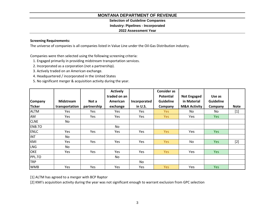# **Selection of Guideline Companies**

## **Industry: Pipelines - Incorporated**

## **2022 Assessment Year**

# **Screening Requirements:**

The universe of companies is all companies listed in Value Line under the Oil-Gas Distribution industry.

Companies were then selected using the following screening criteria:

- 1. Engaged primarily in providing midstream transportation services.
- 2. Incorporated as a corporation (not a partnership).
- 3. Actively traded on an American exchange.
- 4. Headquartered / incorporated in the United States
- 5. No significant merger & acquisition activity during the year.

|                |                  |             | <b>Actively</b> |              | <b>Consider as</b> |                         |                  |             |
|----------------|------------------|-------------|-----------------|--------------|--------------------|-------------------------|------------------|-------------|
|                |                  |             | traded on an    |              | <b>Potential</b>   | <b>Not Engaged</b>      | Use as           |             |
| <b>Company</b> | <b>Midstream</b> | Not a       | American        | Incorporated | <b>Guideline</b>   | in Material             | <b>Guideline</b> |             |
| <b>Ticker</b>  | transportation   | partnership | exchange        | in U.S.      | Company            | <b>M&amp;A Activity</b> | Company          | <b>Note</b> |
| <b>ALTM</b>    | Yes              | Yes         | Yes             | Yes          | Yes                | No                      | No               | $[1]$       |
| AM             | Yes              | Yes         | Yes             | Yes          | Yes                | Yes                     | Yes              |             |
| <b>CLNE</b>    | No               |             |                 |              |                    |                         |                  |             |
| ENB.TO         |                  |             | No.             |              |                    |                         |                  |             |
| <b>ENLC</b>    | Yes              | Yes         | Yes             | Yes          | <b>Yes</b>         | Yes                     | Yes              |             |
| <b>INT</b>     | No               |             |                 |              |                    |                         |                  |             |
| KMI            | Yes              | Yes         | Yes             | Yes          | Yes                | No                      | Yes              | $[2]$       |
| <b>LNG</b>     | No.              |             |                 |              |                    |                         |                  |             |
| <b>OKE</b>     | Yes              | Yes         | Yes             | Yes          | Yes                | Yes                     | Yes              |             |
| PPL.TO         |                  |             | No.             |              |                    |                         |                  |             |
| <b>TRP</b>     |                  |             |                 | No           |                    |                         |                  |             |
| <b>WMB</b>     | Yes              | Yes         | Yes             | Yes          | <b>Yes</b>         | Yes                     | <b>Yes</b>       |             |

[1] ALTM has agreed to a merger with BCP Raptor

[2] KMI's acquisition activity during the year was not significant enough to warrant exclusion from GPC selection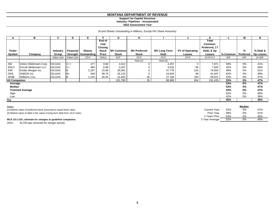#### **Support for Capital Structure Industry: Pipelines - Incorporated**

**2022 Assessment Year**

*(\$ and Shares Outstanding In Millions, Except Per Share Amounts)*

| A                    | в                           | C             | D          | Е                      |                | G                | н                   |                     | u                      | Κ                       |          | M         | N         |
|----------------------|-----------------------------|---------------|------------|------------------------|----------------|------------------|---------------------|---------------------|------------------------|-------------------------|----------|-----------|-----------|
|                      |                             |               |            |                        | End of<br>Year |                  |                     |                     |                        | <b>Total</b><br>Common, |          |           |           |
|                      |                             |               |            |                        | <b>Closing</b> |                  |                     |                     |                        | Preferred, LT           |          |           |           |
| Ticker               |                             | Industry      | Financial  | <b>Shares</b>          | <b>Stock</b>   | <b>MV Common</b> | <b>MV Preferred</b> | <b>MV Long Term</b> | <b>PV of Operating</b> | Debt, & Op              |          | %         | % Debt &  |
| Symbol               | Company                     | Group         |            | Strength   Outstanding | Price          | <b>Stock</b>     | <b>Stock</b>        | Debt                | Leases                 | Leases                  | % Common | Preferred | Op Leases |
|                      |                             | Value Line    | Value Line | $10-K$                 | Yahoo          | ExF              | $10-K$              | $10-K$              | $10-K$                 | $G+H+I+J$               | G/K      | H/K       | $(l+J)/K$ |
|                      |                             |               |            |                        |                |                  | Note $[1]$          | Note $[2]$          |                        |                         |          |           |           |
| AM                   | Antero Midstream Corp.      | <b>OILGAS</b> | $C++$      | 477                    | 9.68           | 4,614            | $\mathbf 0$         | 3,257               |                        | 7,871                   | 59%      | 0%        | 41%       |
| <b>ENLC</b>          | <b>EnLink Midstream LLC</b> | <b>OILGAS</b> | C+         | 484                    | 6.89           | 3,337            |                     | 4,520               | 85                     | 7,942                   | 42%      | 0%        | 58%       |
| KMI                  | Kinder Morgan Inc.          | <b>OILGAS</b> |            | 2,267                  | 15.86          | 35,961           |                     | 37,778              | 315                    | 74,054                  | 49%      | 0%        | 51%       |
| OKE                  | ONEOK Inc.                  | <b>OILGAS</b> | $B+$       | 446                    | 58.76          | 26,215           | 0                   | 15,643              | 89                     | 41,947                  | 62%      | 0%        | 38%       |
| <b>WMB</b>           | Williams Cos.               | <b>OILGAS</b> | ΙB         | .216                   | 26.04          | 31,654           | 35                  | 27,768              | 164                    | 59,621                  | 53%      | 0%        | 47%       |
| <b>All Companies</b> |                             |               |            |                        |                | 101,780          | 35                  | 88,966              | 654                    | 191,435                 | 53%      | $0\%$     | 47%       |
| Average              |                             |               |            |                        |                |                  |                     |                     |                        |                         | 53%      | 0%        | 47%       |
| Median               |                             |               |            |                        |                |                  |                     |                     |                        |                         | 53%      | 0%        | 47%       |
|                      | <b>Trimmed Average</b>      |               |            |                        |                |                  |                     |                     |                        |                         | 53%      | 0%        | 47%       |
| High                 |                             |               |            |                        |                |                  |                     |                     |                        |                         | 62%      | 0%        | 58%       |
| Low                  |                             |               |            |                        |                |                  |                     |                     |                        |                         | 42%      | 0%        | 38%       |
| Say                  |                             |               |            |                        |                |                  |                     |                     |                        |                         | 55%      |           | 45%       |

| Notes:                                                                   |                   |     | <u>Median</u> |     |
|--------------------------------------------------------------------------|-------------------|-----|---------------|-----|
| [1] Market value of preferred stock assumed to equal book value          | Current Year      | 53% | 0%            | 47% |
| [2] Market value of debt is fair value of long term debt from 10-K notes | <b>Prior Year</b> | 49% | 0%            | 51% |
|                                                                          | 2 Years Prior     | 54% | 0%            | 46% |
| MCA 15-1-210, rationale for changes to guideline companies:              | 3 Year Average    | 52% | 0%            | 48% |

2022 - ALTM was removed for merger activity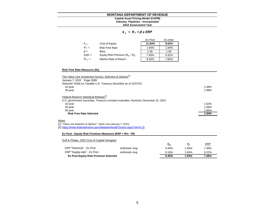#### **MONTANA DEPARTMENT OF REVENUE Capital Asset Pricing Model (CAPM)**

# **Industry: Pipelines - Incorporated**

**2022 Assessment Year**

#### *k e = R <sup>f</sup> + β x ERP*

|           |                                   | Ex Post | Ex Ante |
|-----------|-----------------------------------|---------|---------|
| $k_{e}$   | Cost of Equity                    | 11.64%  | 9.62%   |
| $R_f =$   | <b>Risk Free Rate</b>             | 1.94%   | 1.94%   |
| $\beta =$ | Beta                              | 1.30    | 1.30    |
| $ERP =$   | Equity Risk Premium $(R_m - R_f)$ | 7.46%   | 5.91%   |
| $R_m =$   | Market Rate of Return             | 9.40%   | 7.85%   |

#### **Risk Free Rate Measures (R<sup>f</sup> ):**

| The Value Line Investment Survey: Selection & Opinion <sup>[1]</sup>                 |       |
|--------------------------------------------------------------------------------------|-------|
| January 7, 2022 Page 2089                                                            |       |
| Selected Yields on Taxable U.S. Treasury Securities as of 12/27/21                   |       |
| 10-year                                                                              | 1.48% |
| 30-year                                                                              | 1.88% |
| Federal Reserve Statistical Release <sup>[2]</sup>                                   |       |
| U.S. government securities, Treasury constant maturities, Nominal, December 31, 2021 |       |
| 10-year                                                                              | 1.52% |
| 20-year                                                                              | 1.94% |
| 30-year                                                                              | 1.90% |
| <b>Risk Free Rate Selected</b>                                                       | 1.94% |
| <b>Notes</b>                                                                         |       |
| [1] "Value Line Selection & Opinion", Value Line (January 7, 2022)                   |       |
| [2] https://www.federalreserve.gov/datadownload/Choose.aspx?rel=H.15                 |       |
|                                                                                      |       |
| Ex Post - Equity Risk Premium Measures (ERP = Rm - Rf)                               |       |

#### Duff & Phelps, 2022 Cost of Capital Navigator

|                                             |                 | $R_m$ | R.    | <b>ERP</b> |
|---------------------------------------------|-----------------|-------|-------|------------|
| ERP "Historical" - Ex Post                  | Arithmetic Avg. | 9.40% | 1.94% | 7.46%      |
| ERP "Supply-side" - Ex Post                 | Arithmetic Avg. | 8.16% | 1.94% | 6.22%      |
| <b>Ex Post Equity Risk Premium Selected</b> |                 | 9.40% | 1.94% | 7.46%      |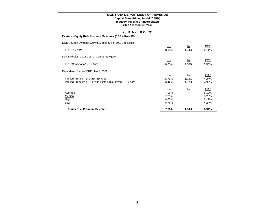#### **Industry: Pipelines - Incorporated Capital Asset Pricing Model (CAPM)**

|  |  |  |  |  |  | $R_f$ + $\beta$ x ERP |
|--|--|--|--|--|--|-----------------------|
|--|--|--|--|--|--|-----------------------|

| Ex Ante - Equity Risk Premium Measures (ERP = Rm - Rf) |  |
|--------------------------------------------------------|--|
|--------------------------------------------------------|--|

| DOR 3 Stage Dividend Growth Model, S & P 500, See Exhibit |       |             |            |
|-----------------------------------------------------------|-------|-------------|------------|
|                                                           | $R_m$ | $R_{\rm f}$ | <b>ERP</b> |
| ERP - Ex Ante                                             | 8.05% | 1.94%       | 6.11%      |
| Duff & Phelps, 2022 Cost of Capital Navigator             |       |             |            |
|                                                           | $R_m$ | $R_{\rm f}$ | ERP        |
| ERP "Conditional" - Ex Ante                               | 8.00% | 2.50%       | 5.50%      |
| Damodaran Implied ERP (Jan 5, 2022)                       |       |             |            |
|                                                           | $R_m$ | $R_{\rm f}$ | <b>ERP</b> |
| Implied Premium (FCFE) - Ex Ante                          | 5.76% | 1.52%       | 4.24%      |
| Implied Premium (FCFE with sustainable payout) - Ex Ante  | 6.42% | 1.52%       | 4.90%      |
|                                                           | $R_m$ | $R_{\rm f}$ | ERP        |
| Average                                                   | 7.06% |             | 5.19%      |
| Median                                                    | 7.21% |             | 5.20%      |
| <b>High</b>                                               | 8.05% |             | 6.11%      |
| Low                                                       | 5.76% |             | 4.24%      |
| <b>Equity Risk Premium Selected</b>                       | 7.85% | 1.94%       | 5.91%      |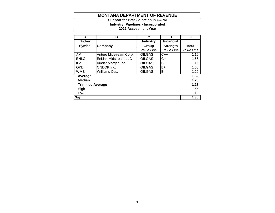## **2022 Assessment Year Industry: Pipelines - Incorporated Support for Beta Selection in CAPM**

| A                      | в                      | C               | D                | Е           |
|------------------------|------------------------|-----------------|------------------|-------------|
| <b>Ticker</b>          |                        | <b>Industry</b> | <b>Financial</b> |             |
| Symbol                 | <b>Company</b>         | Group           | <b>Strength</b>  | <b>Beta</b> |
|                        |                        | Value Line      | Value Line       | Value Line  |
| AM                     | Antero Midstream Corp. | <b>OILGAS</b>   | $C++$            | 1.10        |
| <b>ENLC</b>            | EnLink Midstream LLC   | <b>OILGAS</b>   | $C+$             | 1.65        |
| KMI                    | Kinder Morgan Inc.     | <b>OILGAS</b>   | B                | 1.15        |
| <b>OKE</b>             | <b>ONEOK Inc.</b>      | <b>OILGAS</b>   | B+               | 1.50        |
| <b>WMB</b>             | Williams Cos.          | <b>OILGAS</b>   | в                | 1.20        |
| Average                |                        |                 |                  | 1.32        |
| <b>Median</b>          |                        |                 |                  | 1.20        |
| <b>Trimmed Average</b> |                        |                 |                  | 1.28        |
| High                   |                        |                 |                  | 1.65        |
| Low                    |                        |                 |                  | 1.10        |
| Say                    |                        |                 |                  | 1.30        |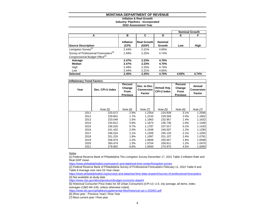## **Inflation & Real Growth**

**Industry: Pipelines - Incorporated**

#### **2022 Assessment Year**

|                                                   |                    |                             |                          |       | <b>Nominal Growth</b> |
|---------------------------------------------------|--------------------|-----------------------------|--------------------------|-------|-----------------------|
| A                                                 | в                  | C                           | D                        | Е     | F                     |
| <b>Source Description</b>                         | Inflation<br>(CPI) | <b>Real Growth</b><br>(GDP) | <b>Nominal</b><br>Growth | Low   | High                  |
| Livingston Survey <sup>[1]</sup>                  | 2.44%              | 2.21%                       | 4.65%                    |       |                       |
| Survey of Professional Forecasters <sup>[2]</sup> | 2.49%              | 2.25%                       | 4.74%                    |       |                       |
| Congressional Budget Office <sup>[3]</sup>        |                    |                             |                          |       |                       |
| Average                                           | 2.47%              | 2.23%                       | 4.70%                    |       |                       |
| Median                                            | 2.47%              | 2.23%                       | 4.70%                    |       |                       |
| High                                              | 2.49%              | 2.25%                       | 4.74%                    |       |                       |
| Low                                               | 2.44%              | 2.21%                       | 4.65%                    |       |                       |
| <b>Selected</b>                                   | 2.45%              | 2.25%                       | 4.70%                    | 4.65% | 4.74%                 |

| <b>Inflationary Trend Factors</b> |                  |                                                     |                                             |                                   |                                                            |                                |
|-----------------------------------|------------------|-----------------------------------------------------|---------------------------------------------|-----------------------------------|------------------------------------------------------------|--------------------------------|
| Year                              | Dec. CPI-U Index | <b>Percent</b><br>Change<br>From<br><b>Previous</b> | Dec. to Dec.<br><b>Conversion</b><br>Factor | Annual Avg.<br><b>CPI-U Index</b> | <b>Percent</b><br>Change<br><b>From</b><br><b>Previous</b> | Annual<br>Conversion<br>Factor |
|                                   |                  |                                                     |                                             |                                   |                                                            |                                |
|                                   |                  |                                                     |                                             |                                   |                                                            |                                |
|                                   | Note [5]         | Note [6]                                            | <b>Note [7]</b>                             | Note [5]                          | Note [6]                                                   | <b>Note [7]</b>                |
| 2011                              | 225.672          | 2.9%                                                | 1.2354                                      | 224.939                           | 3.1%                                                       | 1.2046                         |
| 2012                              | 229.601          | 1.7%                                                | 1.2143                                      | 229.594                           | 2.0%                                                       | 1.1802                         |
| 2013                              | 233.049          | 1.5%                                                | 1.1963                                      | 232.957                           | 1.4%                                                       | 1.1632                         |
| 2014                              | 234.812          | 0.8%                                                | 1.1873                                      | 236.736                           | 1.6%                                                       | 1.1446                         |
| 2015                              | 236.525          | 0.7%                                                | 1.1787                                      | 237.017                           | 0.1%                                                       | 1.1433                         |
| 2016                              | 241.432          | 2.0%                                                | 1.1548                                      | 240.007                           | 1.2%                                                       | 1.1290                         |
| 2017                              | 246.524          | 2.1%                                                | 1.1309                                      | 245.120                           | 2.1%                                                       | 1.1055                         |
| 2018                              | 251.233          | 1.9%                                                | 1.1097                                      | 251.107                           | 2.4%                                                       | 1.0791                         |
| 2019                              | 256.974          | 2.2%                                                | 1.0849                                      | 255.657                           | 1.8%                                                       | 1.0599                         |
| 2020                              | 260.474          | 1.3%                                                | 1.0704                                      | 258.811                           | 1.2%                                                       | 1.0470                         |
| 2021                              | 278.802          | 6.6%                                                | 1.0000                                      | 270.970                           | 4.5%                                                       | 1.0000                         |

Notes

[1] Federal Reserve Bank of Philadelphia The Livingston Survey December 17, 2021 Table 3 Inflation Rate and Real GDP mean

<https://www.philadelphiafed.org/research-and-data/real-time-center/livingston-survey>

[2] Federal Reserve Bank of Philadelphia Survey of Professional Forecasters February 11, 2022 Table 8 and Table 9 Average over next 10-Year mean

<https://www.philadelphiafed.org/surveys-and-data/real-time-data-research/survey-of-professional-forecasters> [3] Not available at study date

<https://www.cbo.gov/about/products/budget-economic-data#4>

[5] Historical Consumer Price Index for All Urban Consumers (CPI-U): U.S. city average, all items, index averages (1982-84=100, unless otherwise noted)

<https://www.bls.gov/cpi/tables/supplemental-files/historical-cpi-u-202001.pdf>

[6] (Row year - Previous Year) / Row Year

[7] Most current year / Row year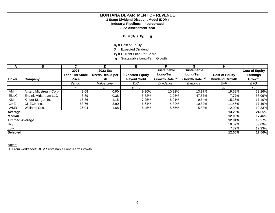# **3 Stage Dividend Discount Model (DDM) Industry: Pipelines - Incorporated**

**2022 Assessment Year**

**ke = (D<sup>1</sup> / P<sup>0</sup> ) + g**

**ke =** Cost of Equity

**D1 =** Expected Dividend

**P0 =** Current Price Per Share

**g =** Sustainable Long-Term Growth

| A                     | В                            | C.                    | D                 | Е                      | F.                         | G                          | н                      |                       |
|-----------------------|------------------------------|-----------------------|-------------------|------------------------|----------------------------|----------------------------|------------------------|-----------------------|
|                       |                              | 2021                  | 2022 Est          |                        | <b>Sustainable</b>         | <b>Sustainable</b>         |                        | <b>Cost of Equity</b> |
|                       |                              | <b>Year End Stock</b> | Div'ds Decl'd per | <b>Expected Equity</b> | Long-Term                  | Long-Term                  | <b>Cost of Equity</b>  | <b>Earnings</b>       |
| <b>Ticker</b>         | Company                      | <b>Price</b>          | sh                | <b>Payout Yield</b>    | Growth Rate <sup>[1]</sup> | Growth Rate <sup>[1]</sup> | <b>Dividend Growth</b> | Growth                |
|                       |                              | Yahoo                 | Value Line        | D/C                    | Dividends                  | Earnings                   | $E + F$                | $E+G$                 |
|                       |                              | $P_{0}$               | $D_1$             | $D_1/P_0$              | g                          | g                          | $k_e$                  | $k_{\circ}$           |
| AM                    | Antero Midstream Corp.       | 9.68                  | 0.90              | 9.30%                  | 10.22%                     | 13.97%                     | 19.52%                 | 23.26%                |
| <b>ENLC</b>           | <b>IEnLink Midstream LLC</b> | 6.89                  | 0.38              | 5.52%                  | 2.25%                      | 47.57%                     | 7.77%                  | 53.09%                |
| KMI                   | Kinder Morgan Inc.           | 15.86                 | 1.15              | 7.25%                  | 8.01%                      | 9.84%                      | 15.26%                 | 17.10%                |
| <b>OKE</b>            | <b>ONEOK</b> Inc.            | 58.76                 | 3.90              | 6.64%                  | 4.82%                      | 10.82%                     | 11.46%                 | 17.46%                |
| <b>WMB</b>            | Williams Cos.                | 26.04                 | 1.68              | 6.45%                  | 5.55%                      | 5.88%                      | 12.00%                 | 12.33%                |
| Average               |                              |                       |                   |                        |                            |                            | 13.20%                 | 24.65%                |
| <b>Median</b>         |                              |                       |                   |                        |                            |                            | 12.00%                 | 17.46%                |
| <b>Timmed Average</b> |                              |                       |                   |                        |                            |                            | 12.91%                 | 19.27%                |
| High                  |                              |                       |                   |                        |                            |                            | 19.52%                 | 53.09%                |
| Low                   |                              |                       |                   |                        |                            |                            | 7.77%                  | 12.33%                |
| <b>Selected</b>       |                              |                       |                   |                        |                            |                            | 12.00%                 | 17.50%                |

Notes:

[1] From worksheet: DDM Sustainable Long-Term Growth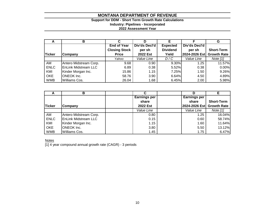# **Support for DDM - Short Term Growth Rate Calculations Industry: Pipelines - Incorporated**

**2022 Assessment Year**

| A             | В                           |                      | D             |                 |               | G                  |
|---------------|-----------------------------|----------------------|---------------|-----------------|---------------|--------------------|
|               |                             | <b>End of Year</b>   | Div'ds Decl'd | <b>Expected</b> | Div'ds Decl'd |                    |
|               |                             | <b>Closing Stock</b> | per sh        | <b>Dividend</b> | per sh        | <b>Short-Term</b>  |
| <b>Ticker</b> | Company                     | <b>Price</b>         | 2022 Est      | Yield           | 2024-2026 Est | <b>Growth Rate</b> |
|               |                             | Yahoo                | Value Line    | D/C             | Value Line    | Note $[1]$         |
| AM            | Antero Midstream Corp.      | 9.68                 | 0.90          | $9.30\%$        | 1.25          | 11.57%             |
| <b>ENLC</b>   | <b>EnLink Midstream LLC</b> | 6.89                 | 0.38          | 5.52%           | 0.38          | 0.00%              |
| KMI           | Kinder Morgan Inc.          | 15.86                | 1.15          | 7.25%           | 1.50          | 9.26%              |
| OKE           | <b>ONEOK Inc.</b>           | 58.76                | 3.90          | 6.64%           | 4.50          | 4.89%              |
| <b>WMB</b>    | <b>Williams Cos.</b>        | 26.04                | 1.68          | 6.45%           | 2.00          | 5.98%              |

| <b>.</b>      | в                           | С                   |                     |                    |
|---------------|-----------------------------|---------------------|---------------------|--------------------|
|               |                             | <b>Earnings per</b> | <b>Earnings per</b> |                    |
|               |                             | share               | share               | <b>Short-Term</b>  |
| <b>Ticker</b> | Company                     | <b>2022 Est</b>     | 2024-2026 Est       | <b>Growth Rate</b> |
|               |                             | Value Line          | Value Line          | Note $[1]$         |
| AM            | Antero Midstream Corp.      | 0.80                | 1.25                | 16.04%             |
| <b>ENLC</b>   | <b>EnLink Midstream LLC</b> | 0.15                | 0.60                | 58.74%             |
| KMI           | Kinder Morgan Inc.          | 1.15                | 1.60                | 11.64%             |
| <b>OKE</b>    | <b>ONEOK</b> Inc.           | 3.80                | 5.50                | 13.12%             |
| <b>WMB</b>    | Williams Cos.               | 1.45                | 1.75                | 6.47%              |

**Notes** 

[1] 4 year compound annual growth rate (CAGR) - 3 periods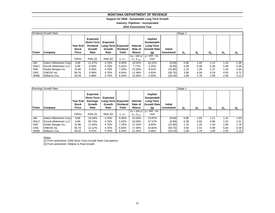#### **Support for DDM - Sustainable Long Term Growth**

**Industry: Pipelines - Incorporated**

**2022 Assessment Year**

|               | Dividend Growth Rate   |                                            | Stage 1                                                            |                                                  |                          |                               |                                                                         |                              |       |                |       |       |       |
|---------------|------------------------|--------------------------------------------|--------------------------------------------------------------------|--------------------------------------------------|--------------------------|-------------------------------|-------------------------------------------------------------------------|------------------------------|-------|----------------|-------|-------|-------|
| <b>Ticker</b> | Company                | Year End I<br><b>Stock</b><br><b>Price</b> | Expected<br><b>Short-Term</b><br><b>Dividend</b><br>Growth<br>Rate | Expected<br>Long-Term Expected<br>Growth<br>Rate | <b>Dividend</b><br>Yield | Internal<br>Rate of<br>Return | Implied<br><b>Sustainable</b><br>Long-Term<br><b>Growth Rate</b><br>(g) | <b>Initial</b><br>Investment | $D_1$ | D <sub>2</sub> | $D_3$ | $D_4$ | $D_5$ |
|               |                        |                                            |                                                                    |                                                  |                          | $Ke = IRR$ of                 | $q = IRR - \overline{Div}$ .                                            |                              |       |                |       |       |       |
|               |                        | Yahoo                                      | Note $[1]$                                                         | Note $[2]$                                       | $D_1/P_0$                | $D_1$ : $D_{500}$             | Yield                                                                   |                              |       |                |       |       |       |
| AM            | Antero Midstream Corp. | 9.68                                       | 11.57%                                                             | 4.70%                                            | 9.30%                    | 19.52%                        | 10.22%                                                                  | (9.68)                       | 0.90  | 1.00           | 1.12  | 1.25  | 1.39  |
| <b>ENLC</b>   | EnLink Midstream LLC   | 6.89                                       | $0.00\%$                                                           | 4.70%                                            | 5.52%                    | 7.77%                         | 2.25%                                                                   | (6.89)                       | 0.38  | 0.38           | 0.38  | 0.38  | 0.38  |
| KMI           | Kinder Morgan Inc.     | 15.86                                      | 9.26%                                                              | 4.70%                                            | 7.25%                    | 15.26%                        | 8.01%                                                                   | (15.86)                      | 1.15  | 1.26           | 1.37  | 1.50  | 1.64  |
| <b>OKE</b>    | <b>ONEOK</b> Inc.      | 58.76                                      | 4.89%                                                              | 4.70%                                            | 6.64%                    | 11.46%                        | 4.82%                                                                   | (58.76)                      | 3.90  | 4.09           | 4.29  | 4.50  | 4.72  |
| <b>WMB</b>    | Williams Cos.          | 26.04                                      | 5.98%                                                              | 4.70%                                            | 6.45%                    | 12.00%                        | 5.55%                                                                   | (26.04)                      | 1.68  | 1.78           | 1.89  | 2.00  | 2.12  |

|             | Earnings Growth Rate        |                                                 |                                                                    |                                                  |                          |                                    |                                                                         |                              | Stage 1 |                |       |       |       |  |  |
|-------------|-----------------------------|-------------------------------------------------|--------------------------------------------------------------------|--------------------------------------------------|--------------------------|------------------------------------|-------------------------------------------------------------------------|------------------------------|---------|----------------|-------|-------|-------|--|--|
| Ticker      | <b>Company</b>              | <b>Year End</b><br><b>Stock</b><br><b>Price</b> | <b>Expected</b><br><b>Short-Term</b><br>Earnings<br>Growth<br>Rate | Expected<br>Long-Term Expected<br>Growth<br>Rate | <b>Dividend</b><br>Yield | Internal<br>Rate of<br>Return      | Implied<br><b>Sustainable</b><br>Long-Term<br><b>Growth Rate</b><br>(g) | <b>Initial</b><br>Investment | $D_1$   | D <sub>2</sub> | $D_3$ | $D_4$ | $D_5$ |  |  |
|             |                             | Yahoo                                           | Note [1]                                                           | Note [2]                                         | $D_1/P_0$                | $Ke = IRR$ of<br>$D_1$ : $D_{500}$ | $q = IRR - Div.$<br>Yield                                               |                              |         |                |       |       |       |  |  |
| AM          | Antero Midstream Corp.      | 9.68                                            | 16.04%                                                             | 4.70%                                            | 9.30%                    | 23.26%                             | 13.97%                                                                  | (9.68)                       | 0.90    | 1.04           | 1.21  | 1.41  | 1.63  |  |  |
| <b>ENLC</b> | <b>EnLink Midstream LLC</b> | 6.89                                            | 58.74%                                                             | 4.70%                                            | 5.52%                    | 53.09%                             | 47.57%                                                                  | (6.89)                       | 0.38    | 0.60           | 0.96  | 1.52  | 2.41  |  |  |
| KMI         | Kinder Morgan Inc.          | 15.86                                           | 11.64%                                                             | 4.70%                                            | 7.25%                    | 17.10%                             | 9.84%                                                                   | (15.86)                      | 1.15    | .28            | 1.43  | 1.60  | 1.79  |  |  |
| OKE         | <b>ONEOK Inc.</b>           | 58.76                                           | 13.12%                                                             | 4.70%                                            | 6.64%                    | 17.46%                             | 10.82%                                                                  | (58.76)                      | 3.90    | 4.41           | 4.99  | 5.64  | 6.39  |  |  |
| <b>WMB</b>  | Williams Cos.               | 26.04                                           | 6.47%                                                              | 4.70%                                            | 6.45%                    | 12.33%                             | 5.88%                                                                   | (26.04)                      | 1.68    | .79،           | 1.90  | 2.03  | 2.16  |  |  |

Notes:

[1] From worksheet: DDM Short Term Growth Rate Calculations [2] From worksheet: Inflation & Real Growth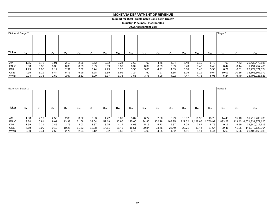#### **MONTANA DEPARTMENT OF REVENUE MONTANA DEPARTMENT OF REVENUE**

#### **Support for DDM - Sustainable Long Term Growth Support for DDM - Sustainable Long Term Growth**

**Industry: Pipelines - Incorporated Industry: Pipelines - Incorporated**

| Dividend Stage 2 |       |      |         |       |          |          |          |          |          |          |          |          |          |          |          | Stage 3  |          |                |  |
|------------------|-------|------|---------|-------|----------|----------|----------|----------|----------|----------|----------|----------|----------|----------|----------|----------|----------|----------------|--|
| <b>Ticker</b>    | $D_6$ | D,   | $D_{8}$ | $D_9$ | $D_{10}$ | $D_{11}$ | $D_{12}$ | $D_{13}$ | $D_{14}$ | $D_{15}$ | $D_{16}$ | $D_{17}$ | $D_{18}$ | $D_{19}$ | $D_{20}$ | $D_{21}$ | $D_{22}$ | $D_{500}$      |  |
|                  |       |      |         |       |          |          |          |          |          |          |          |          |          |          |          |          |          |                |  |
| AM               | 1.55  | 1.72 | 1.91    | 2.13  | 2.36     | 2.62     | 2.92     | 3.24     | 3.60     | 4.00     | 4.45     | 4.94     | 5.49     | 6.10     | 6.78     | 7.09     | 7.43     | 25,433,470,885 |  |
| <b>ENLC</b>      | 0.38  | 0.38 | 0.38    | 0.38  | 0.39     | 0.39     | 0.39     | 0.39     | 0.39     | 0.39     | 0.39     | 0.39     | 0.40     | 0.40     | 0.40     | 0.42     | 0.44     | 1,494,757,466  |  |
| KMI              | 1.79  | 1.95 | 2.12    | 2.31  | 2.52     | 2.74     | 2.99     | 3.26     | 3.55     | 3.86     | 4.21     | 4.59     | 5.00     | 5.45     | 5.93     | 6.21     | 6.51     | 22,272,871,174 |  |
| OKE              | 4.95  | 5.19 | 5.44    | 5.71  | 5.99     | 6.28     | 6.59     | 6.91     | 7.24     | 7.60     | 7.97     | 8.35     | 8.76     | 9.19     | 9.64     | 10.09    | 10.56    | 36,166,507,372 |  |
| WMB              | 2.24  | 2.38 | 2.52    | 2.67  | 2.82     | 2.99     | 3.17     | 3.35     | 3.55     | 3.76     | 3.98     | 4.22     | 4.47     | 4.73     | 5.01     | 5.24     | 5.49     | 18,793,923,623 |  |

| Earnings Stage 2 |         |                |         |         |          |          |          |          |          |          |          |          |          |          |          | Stage 3  |          |                            |
|------------------|---------|----------------|---------|---------|----------|----------|----------|----------|----------|----------|----------|----------|----------|----------|----------|----------|----------|----------------------------|
| <b>Ticker</b>    | $D_{6}$ | D <sub>7</sub> | $D_{8}$ | $D_{9}$ | $D_{10}$ | $D_{11}$ | $D_{12}$ | $D_{13}$ | $D_{14}$ | $D_{15}$ | $D_{16}$ | $D_{17}$ | $D_{18}$ | $D_{19}$ | $D_{20}$ | $D_{21}$ | $D_{22}$ | $D_{500}$                  |
|                  |         |                |         |         |          |          |          |          |          |          |          |          |          |          |          |          |          |                            |
| AM               | 1.88    | 2.17           | 2.50    | 2.88    | 3.32     | 3.83     | 4.42     | 5.09     | 5.87     | 6.77     | 7.80     | 8.99     | 10.37    | 11.95    | 13.78    | 14.43    | 15.10    | 51,712,703,730             |
| <b>ENLC</b>      | 3.74    | 5.81           | 9.01    | 13.98   | 21.68    | 33.64    | 52.19    | 80.96    | 125.60   | 194.85   | 302.28   | 468.95   | 727.52   | ,128.66  | .750.97  | 1,833.27 |          | 1,919.43 6,571,831,371,620 |
| KMI              | 1.99    | 2.21           | 2.45    | 2.73    | 3.03     | 3.37     | 3.75     | 4.17     | 4.63     | 5.15     | 5.73     | 6.37     | 7.08     | 7.87     | 8.75     | 9.16     | 9.59     | 32,840,017,515             |
| OKE              | 7.19    | 8.09           | 9.10    | 10.25   | 11.53    | 12.98    | 14.61    | 16.45    | 18.51    | 20.84    | 23.45    | 26.40    | 29.71    | 33.44    | 37.64    | 39.41    | 41.26    | 141,279,129,164            |
| <b>WMB</b>       | 2.30    | 2.44           | 2.60    | 2.76    | 2.94     | 3.12     | 3.32     | 3.53     | 3.76     | 4.00     | 4.25     | 4.52     | 4.81     | 5.11     | 5.44     | 5.69     | 5.96     | 20,405,163,085             |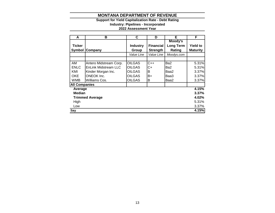# **Support for Yield Capitalization Rate - Debt Rating**

**Industry: Pipelines - Incorporated**

| A                    | в                      | C               | D                | Е                | F               |  |  |
|----------------------|------------------------|-----------------|------------------|------------------|-----------------|--|--|
|                      |                        |                 |                  | Moody's          |                 |  |  |
| <b>Ticker</b>        |                        | <b>Industry</b> | <b>Financial</b> | <b>Long Term</b> | <b>Yield to</b> |  |  |
| <b>Symbol</b>        | Company                | Group           | <b>Strength</b>  | Rating           | <b>Maturity</b> |  |  |
|                      |                        | Value Line      | Value Line       | Moodys.com       |                 |  |  |
|                      |                        |                 |                  |                  |                 |  |  |
| AM                   | Antero Midstream Corp. | <b>OILGAS</b>   | $C++$            | Ba2              | 5.31%           |  |  |
| <b>ENLC</b>          | EnLink Midstream LLC   | <b>OILGAS</b>   | C+               | Ba2              | 5.31%           |  |  |
| KMI                  | Kinder Morgan Inc.     | <b>OILGAS</b>   | Β                | Baa2             | 3.37%           |  |  |
| <b>OKE</b>           | <b>ONEOK Inc.</b>      | <b>OILGAS</b>   | B+               | Baa3             | 3.37%           |  |  |
| WMB                  | Williams Cos.          | <b>OILGAS</b>   | Β                | Baa2             | 3.37%           |  |  |
| <b>All Companies</b> |                        |                 |                  |                  |                 |  |  |
| Average              |                        |                 |                  |                  | 4.15%           |  |  |
| <b>Median</b>        |                        |                 |                  |                  | 3.37%           |  |  |
|                      | <b>Trimmed Average</b> |                 |                  | 4.02%            |                 |  |  |
| High                 |                        |                 |                  |                  |                 |  |  |
| Low                  |                        |                 |                  |                  | 3.37%           |  |  |
| Say                  |                        |                 |                  |                  | 4.15%           |  |  |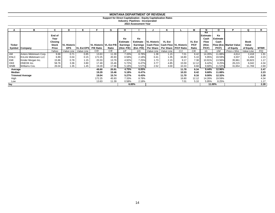#### **Support for Direct Capitalization - Equity Capitalization Rates**

**Industry: Pipelines - Incorporated**

|               | в                           | C              | D                  |                   |                          | G     | н           |          |                                                | n                       |                                               | м             | N                        | O                | Р                       | Ω           | R           |
|---------------|-----------------------------|----------------|--------------------|-------------------|--------------------------|-------|-------------|----------|------------------------------------------------|-------------------------|-----------------------------------------------|---------------|--------------------------|------------------|-------------------------|-------------|-------------|
|               |                             | End of<br>Year |                    |                   |                          |       | Ke          | Ke       |                                                |                         |                                               |               | Ke<br>Estimate -<br>Cash | Ke<br>Estimate - |                         |             |             |
|               |                             | Closing        |                    |                   |                          |       | Estimate    |          | Estimate - VL Historic                         | <b>VL Est</b>           |                                               | <b>VL Est</b> | Flow                     | Cash             |                         | <b>Book</b> |             |
| <b>Ticker</b> |                             | <b>Stock</b>   | <b>VL Historic</b> |                   | VL Historic   VL Est P/E |       | Earnings    |          | Earnings   Cash Flow   Cash Flow   VL Historic |                         |                                               | P/CF          | (Hist.                   |                  | Flow (Est. Market Value | Value       |             |
| Symbol        | <b>Company</b>              | Price          | <b>EPS</b>         | <b>VL Est EPS</b> | <b>P/E Ratio</b>         | Ratio | (Hist. P/E) |          |                                                |                         | (Est. P/E) Per Share   Per Share   P/CF Ratio | Ratio         | P/CF)                    | P/CF             | of Equity               | of Equity   | <b>MTBR</b> |
|               |                             | Yahoo          | Value Line         | Value Line        | C/D                      | C/E   | 1/F         | 1/G      |                                                | Value Line   Value Line | C/J                                           | C/K           | 1/L                      | 1/M              | Price x Shrs            | Value Line  | P/Q         |
| AM            | Antero Midstream Corp.      | 9.68           | 0.71               | 0.85              | 13.63                    | 11.39 | 7.33%       | 8.78%    | 1.38                                           | 1.15                    | 7.01                                          | 8.42          | 14.26%                   | 11.88%           | 4,614                   | 2,418       | 1.91        |
| ENLC          | <b>EnLink Midstream LLC</b> | 6.89           | 0.04               | 0.15              | 172.25                   | 45.93 | 0.58%       | 2.18%    | 0.41                                           | 1.35                    | 16.80                                         | 5.10          | 5.95%                    | 19.59%           | 3,337                   | 1,494       | 2.23        |
| KMI           | Kinder Morgan Inc.          | 15.86          | 0.78               | 1.15              | 20.33                    | 13.79 | 4.92%       | 7.25%    | 1.73                                           | 2.15                    | 9.17                                          | 7.38          | 10.91%                   | 13.56%           | 35,961                  | 30,823      | 1.17        |
| OKE           | ONEOK Inc.                  | 58.76          | 3.36               | 3.80              | 17.49                    | 15.46 | 5.72%       | 6.47%    | 3.77                                           | 4.85                    | 15.59                                         | 12.12         | 6.42%                    | 8.25%            | 26,215                  | 6,042       | 4.34        |
| WMB           | Williams Cos.               | 26.04          | 1.35               | 1.45              | 19.29                    | 17.96 | 5.18%       | 5.57%    | 2.52                                           | 3.00                    | 10.33                                         | 8.68          | 9.68%                    | 11.52%           | 31,654                  | 11,769      | 2.69        |
| Average       |                             |                |                    |                   | 48.60                    | 20.91 | 4.75%       | 6.05%    |                                                |                         | 11.78                                         | 8.34          | 9.44%                    | 12.96%           |                         |             | 2.47        |
| Median        |                             |                |                    |                   | 19.29                    | 15.46 | 5.18%       | 6.47%    |                                                |                         | 10.33                                         | 8.42          | 9.68%                    | 11.88%           |                         |             | 2.23        |
|               | <b>Trimmed Average</b>      |                |                    |                   | 19.04                    | 15.74 | 5.27%       | 6.43%    |                                                |                         | 11.70                                         | 8.16          | $9.00\%$                 | 12.32%           |                         |             | 2.28        |
| High          |                             |                |                    |                   | 172.25                   | 45.93 | 7.33%       | 8.78%    |                                                |                         | 16.80                                         | 12.12         | 14.26%                   | 19.59%           |                         |             | 4.34        |
| Low           |                             |                |                    |                   | 13.63                    | 11.39 | 0.58%       | 2.18%    |                                                |                         | 7.01                                          | 5.10          | 5.95%                    | 8.25%            |                         |             | 1.17        |
| Say           |                             |                |                    |                   |                          |       |             | $6.00\%$ |                                                |                         |                                               |               |                          | 11.00%           |                         |             | 2.28        |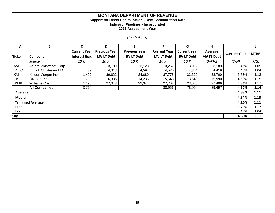#### **Support for Direct Capitalization - Debt Capitalization Rate**

**Industry: Pipelines - Incorporated**

**2022 Assessment Year**

# *(\$ in Millions)*

| A             | B                           | C                                           | D                 | E                    |                     | G                   | н                 |                      |             |
|---------------|-----------------------------|---------------------------------------------|-------------------|----------------------|---------------------|---------------------|-------------------|----------------------|-------------|
|               |                             | <b>Current Year</b><br><b>Previous Year</b> |                   | <b>Previous Year</b> | <b>Current Year</b> | <b>Current Year</b> | Average           | <b>Current Yield</b> | <b>MTBR</b> |
| Ticker        | <b>Company</b>              | <b>Interest Exp.</b>                        | <b>MV LT Debt</b> | <b>BV LT Debt</b>    | <b>MV LT Debt</b>   | <b>BV LT Debt</b>   | <b>MV LT Debt</b> |                      |             |
|               | Source                      | 10-K                                        | $10-K$            | 10-K                 | 10-K                | 10-K                | $(D+F)/2$         | (C/H)                | (F/G)       |
| AM            | Antero Midstream Corp.      | 110                                         | 3,109             | 3,123                | 3,257               | 3,092               | 3,183             | 3.47%                | 1.05        |
| <b>ENLC</b>   | <b>EnLink Midstream LLC</b> | 239                                         | 4,318             | 4,594                | 4,520               | 4,364               | 4,419             | 5.40%                | 1.04        |
| KMI           | Kinder Morgan Inc.          | ,492                                        | 39,622            | 34,689               | 37,778              | 33,320              | 38,700            | 3.86%                | 1.13        |
| OKE           | <b>ONEOK</b> Inc.           | 733                                         | 16,336            | 14,236               | 15,643              | 13,643              | 15,990            | 4.58%                | 1.15        |
| <b>WMB</b>    | Williams Cos.               | 1,190                                       | 27,043            | 22,344               | 27,768              | 23,675              | 27,406            | 4.34%                | 1.17        |
|               | <b>All Companies</b>        | 3,764                                       |                   |                      | 88,966              | 78,094              | 89,697            | 4.20%                | 1.14        |
| Average       |                             |                                             |                   |                      |                     |                     |                   | 4.33%                | 1.11        |
| <b>Median</b> |                             |                                             |                   |                      |                     |                     |                   | 4.34%                | 1.13        |
|               | <b>Trimmed Average</b>      |                                             |                   |                      |                     |                     |                   | 4.26%                | 1.11        |
| High          |                             |                                             |                   |                      |                     |                     |                   | 5.40%                | 1.17        |
| Low           |                             |                                             |                   |                      |                     |                     |                   | 3.47%                | 1.04        |
| Say           |                             |                                             |                   |                      |                     |                     |                   | 4.30%                | 1.11        |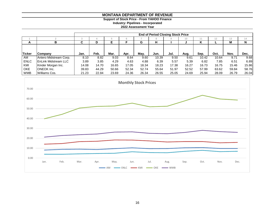**Support of Stock Price - From YAHOO Finance**

**Industry: Pipelines - Incorporated**

|             |                              | <b>End of Period Closing Stock Price</b> |       |       |       |       |            |       |       |       |       |       |       |
|-------------|------------------------------|------------------------------------------|-------|-------|-------|-------|------------|-------|-------|-------|-------|-------|-------|
|             |                              |                                          |       |       | n.    |       | $^{\circ}$ |       | 10    |       | 12    | 13    | 14    |
| A           | в                            | ◠<br>u                                   | D     |       |       | G     | н          |       |       | n     |       | M     | N     |
|             |                              |                                          |       |       |       |       |            |       |       |       |       |       |       |
|             |                              |                                          |       |       |       |       |            |       |       |       |       |       |       |
| lTicker     | <b>Company</b>               | Jan.                                     | Feb.  | Mar.  | Apr.  | May.  | Jun.       | Jul.  | Aug.  | Sep.  | Oct.  | Nov.  | Dec.  |
| AM          | Antero Midstream Corp.       | 8.10                                     | 8.82  | 9.03  | 8.64  | 9.60  | 10.39      | 9.50  | 9.61  | 10.42 | 10.64 | 9.71  | 9.68  |
| <b>ENLC</b> | <b>IEnLink Midstream LLC</b> | 3.89                                     | 3.85  | 4.29  | 4.63  | 4.88  | 6.39       | 5.57  | 5.39  | 6.82  | 7.85  | 6.51  | 6.89  |
| KMI         | Kinder Morgan Inc.           | 14.08                                    | 14.70 | 16.65 | 17.05 | 18.34 | 18.23      | 17.38 | 16.27 | 16.73 | 16.75 | 15.46 | 15.86 |
| <b>OKE</b>  | <b>ONEOK</b> Inc.            | 39.83                                    | 44.29 | 50.66 | 52.34 | 52.74 | 55.64      | 51.97 | 52.52 | 57.99 | 63.62 | 59.84 | 58.76 |
| <b>WMB</b>  | Williams Cos.                | 21.23                                    | 22.84 | 23.69 | 24.36 | 26.34 | 26.55      | 25.05 | 24.69 | 25.94 | 28.09 | 26.79 | 26.04 |